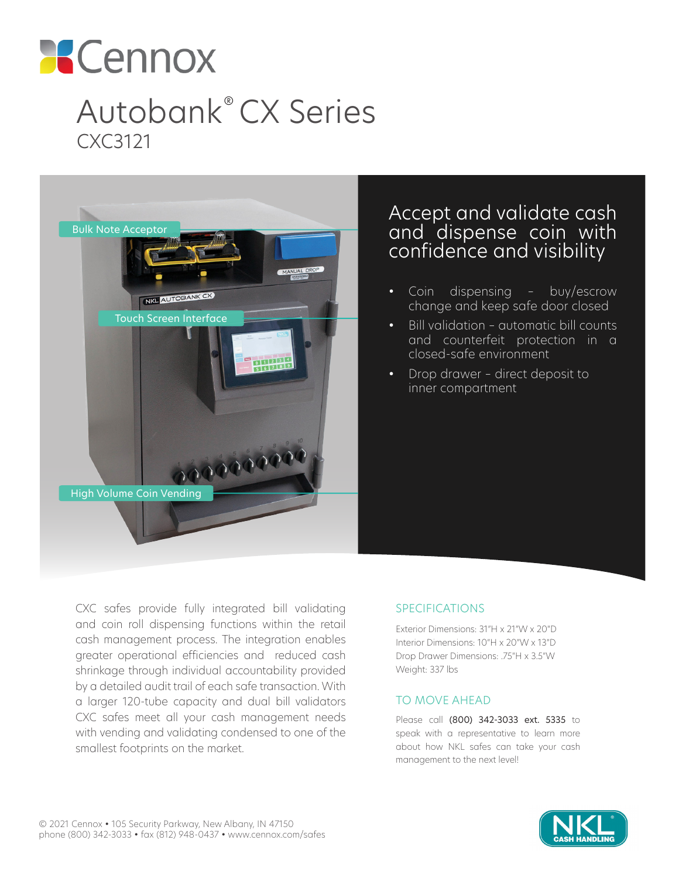

# Autobank® CX Series CXC3121



# Accept and validate cash and dispense coin with confidence and visibility

- Coin dispensing buy/escrow change and keep safe door closed
- Bill validation automatic bill counts and counterfeit protection in a closed-safe environment
- Drop drawer direct deposit to inner compartment

CXC safes provide fully integrated bill validating and coin roll dispensing functions within the retail cash management process. The integration enables greater operational efficiencies and reduced cash shrinkage through individual accountability provided by a detailed audit trail of each safe transaction. With a larger 120-tube capacity and dual bill validators CXC safes meet all your cash management needs with vending and validating condensed to one of the smallest footprints on the market.

### SPECIFICATIONS

Exterior Dimensions: 31"H x 21"W x 20"D Interior Dimensions: 10"H x 20"W x 13"D Drop Drawer Dimensions: .75"H x 3.5"W Weight: 337 lbs

#### TO MOVE AHEAD

Please call (800) 342-3033 ext. 5335 to speak with a representative to learn more about how NKL safes can take your cash management to the next level!